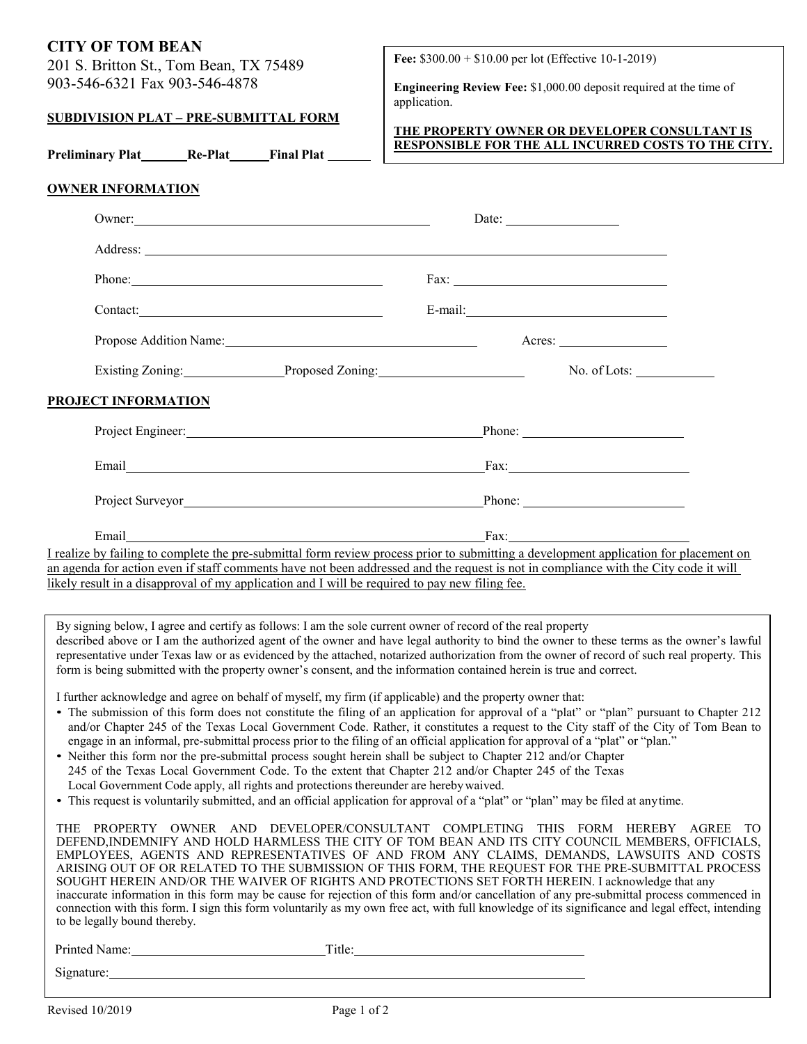# **CITY OF TOM BEAN**

201 S. Britton St., Tom Bean, TX 75489 903-546-6321 Fax 903-546-4878

### **SUBDIVISION PLAT – PRE-SUBMITTAL FORM**

**Preliminary Plat Re-Plat Final Plat**

**Fee:** \$300.00 + \$10.00 per lot (Effective 10-1-2019)

**Engineering Review Fee:** \$1,000.00 deposit required at the time of application.

### **THE PROPERTY OWNER OR DEVELOPER CONSULTANT IS RESPONSIBLE FOR THE ALL INCURRED COSTS TO THE CITY.**

## **OWNER INFORMATION**

|                                                                                                                                                                                                                                | Date: $\frac{1}{\sqrt{1-\frac{1}{2}} \cdot \frac{1}{2}}$    |
|--------------------------------------------------------------------------------------------------------------------------------------------------------------------------------------------------------------------------------|-------------------------------------------------------------|
| Address: No. 2016. The contract of the contract of the contract of the contract of the contract of the contract of the contract of the contract of the contract of the contract of the contract of the contract of the contrac |                                                             |
|                                                                                                                                                                                                                                |                                                             |
| Contact:                                                                                                                                                                                                                       |                                                             |
| Propose Addition Name: 1986 and 2008 and 2008 and 2008 and 2008 and 2008 and 2008 and 2008 and 2008 and 2008 and 2008 and 2008 and 2008 and 2008 and 2008 and 2008 and 2008 and 2008 and 2008 and 2008 and 2008 and 2008 and 2 | Acres: $\_\_$                                               |
|                                                                                                                                                                                                                                | Existing Zoning: Proposed Zoning: No. of Lots: No. of Lots: |
| <b>PROJECT INFORMATION</b>                                                                                                                                                                                                     |                                                             |
| Project Engineer: Phone: Phone: Phone: 2014                                                                                                                                                                                    |                                                             |
|                                                                                                                                                                                                                                |                                                             |
|                                                                                                                                                                                                                                |                                                             |
| Email Particular Contract of the Contract of the Contract of the Contract of the Contract of the Contract of the Contract of the Contract of the Contract of the Contract of the Contract of the Contract of the Contract of t | $\text{Fax:}\_\_\_\_\_\_\_\$                                |
| I realize by failing to complete the pre-submittal form review process prior to submitting a development application for placement on                                                                                          |                                                             |
| an agenda for action even if staff comments have not been addressed and the request is not in compliance with the City code it will                                                                                            |                                                             |

likely result in a disapproval of my application and I will be required to pay new filing fee.

By signing below, I agree and certify as follows: I am the sole current owner of record of the real property described above or I am the authorized agent of the owner and have legal authority to bind the owner to these terms as the owner's lawful representative under Texas law or as evidenced by the attached, notarized authorization from the owner of record of such real property. This form is being submitted with the property owner's consent, and the information contained herein is true and correct.

I further acknowledge and agree on behalf of myself, my firm (if applicable) and the property owner that:

- The submission of this form does not constitute the filing of an application for approval of a "plat" or "plan" pursuant to Chapter 212 and/or Chapter 245 of the Texas Local Government Code. Rather, it constitutes a request to the City staff of the City of Tom Bean to engage in an informal, pre-submittal process prior to the filing of an official application for approval of a "plat" or "plan."
- Neither this form nor the pre-submittal process sought herein shall be subject to Chapter 212 and/or Chapter 245 of the Texas Local Government Code. To the extent that Chapter 212 and/or Chapter 245 of the Texas Local Government Code apply, all rights and protections thereunder are herebywaived.
- This request is voluntarily submitted, and an official application for approval of a "plat" or "plan" may be filed at anytime.

THE PROPERTY OWNER AND DEVELOPER/CONSULTANT COMPLETING THIS FORM HEREBY AGREE TO DEFEND,INDEMNIFY AND HOLD HARMLESS THE CITY OF TOM BEAN AND ITS CITY COUNCIL MEMBERS, OFFICIALS, EMPLOYEES, AGENTS AND REPRESENTATIVES OF AND FROM ANY CLAIMS, DEMANDS, LAWSUITS AND COSTS ARISING OUT OF OR RELATED TO THE SUBMISSION OF THIS FORM, THE REQUEST FOR THE PRE-SUBMITTAL PROCESS SOUGHT HEREIN AND/OR THE WAIVER OF RIGHTS AND PROTECTIONS SET FORTH HEREIN. I acknowledge that any inaccurate information in this form may be cause for rejection of this form and/or cancellation of any pre-submittal process commenced in connection with this form. I sign this form voluntarily as my own free act, with full knowledge of its significance and legal effect, intending to be legally bound thereby.

| Printed Name: | `itle: |
|---------------|--------|
|               |        |

Signature: